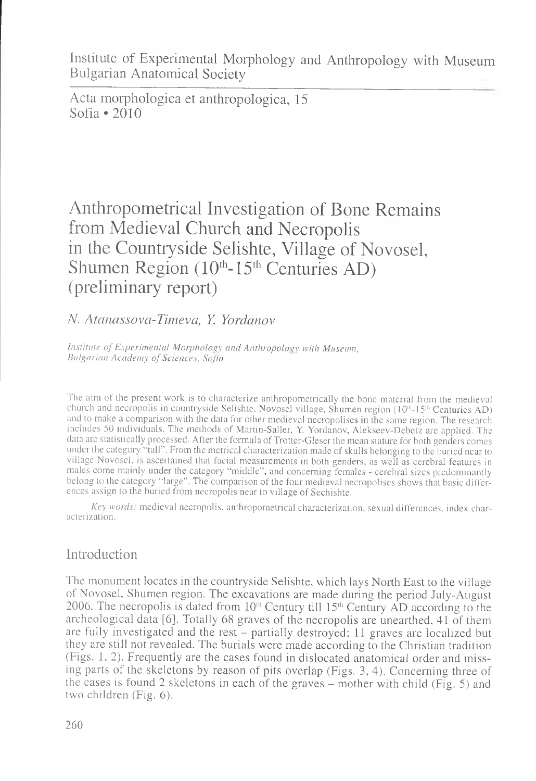Institute of Experimental Morphology and Anthropology with Museum Bulgarian Anatomical Society

Acta morphologica et anthropologica, 15 Sofia • 2010

# Anthropometrical Investigation of Bone Remains from Medieval Church and Necropolis in the Countryside Selishte, Village of Novosel, Shumen Region  $(10^{th} - 15^{th}$  Centuries AD) (preliminary report)

### *N. Atanassova-Timeva, Y. Yordanov*

*Institute of Experimental Morphology and Anthropology with Museum. Bulgarian Academy of Sciences, Sofia*

The aim of the present work is to characterize anthropometrically the bone material from the medieval church and necropolis in countryside Selishte, Novosel village, Shumen region (10<sup>th</sup>-15<sup>th</sup> Centuries AD) and to make a comparison with the data for other medieval necropolises in the same region. The research includes 50 individuals. The methods of Martin-Sailer, Y. Yordanov, Alekseev-Debetz are applied. The data are statistically processed. After the formula of Trotter-Gleser the mean stature for both genders comes under the category "tall". From the metrical characterization made of skulls belonging to the buried near to village Novosel, is ascertained that facial measurements in both genders, as well as cerebral features in males come mainly under the category "middle", and concerning females - cerebral sizes predominantly belong to the category "large". The comparison of the four medieval necropolises shows that basic differences assign to the buried from necropolis near to village of Sechishte.

*Key words:* medieval necropolis, anthropometrical characterization, sexual differences, index characterization.

### Introduction

The monument locates in the countryside Selishte, which lays North East to the village of Novosel, Shumen region. The excavations are made during the period July-August 2006. The necropolis is dated from  $10<sup>th</sup>$  Century till  $15<sup>th</sup>$  Century AD according to the archeological data [6]. Totally 68 graves of the necropolis are unearthed, 41 of them are fully investigated and the rest - partially destroyed: 11 graves are localized but they are still not revealed. The burials were made according to the Christian tradition (Figs. 1, 2). Frequently are the cases found in dislocated anatomical order and missing parts of the skeletons by reason of pits overlap (Figs. 3, 4). Concerning three of the cases is found 2 skeletons in each of the graves  $-$  mother with child (Fig. 5) and two children (Fig. 6).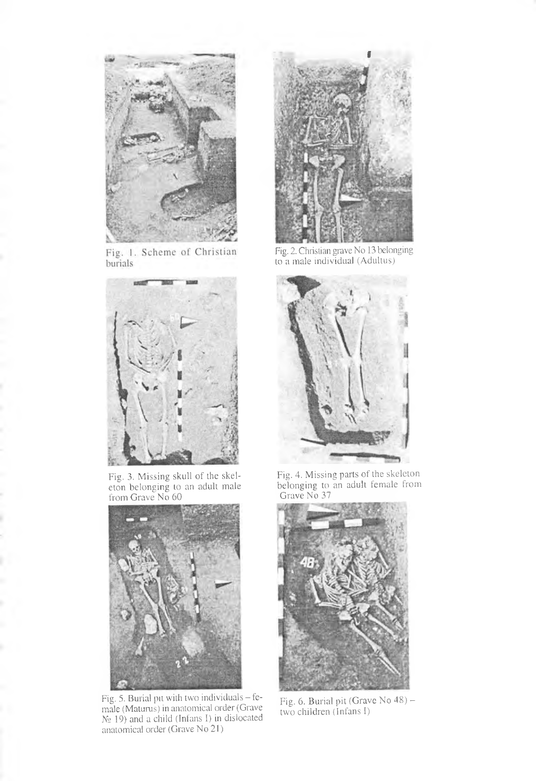

Fig. 1. Scheme of Christian burials



Fig. 3. Missing skull of the skel-<br>eton belonging to an adult male<br>from Grave No 60



Fig. 5. Burial pit with two individuals - female (Maturus) in anatomical order (Grave  $N_2$  19) and a child (Infans I) in dislocated anatomical order (Grave No 21)



Fig. 2. Christian grave No 13 belonging<br>to a male individual (Adultus)



Fig. 4. Missing parts of the skeleton<br>belonging to an adult female from Grave No 37



Fig. 6. Burial pit (Grave No 48) –<br>two children (Infans I)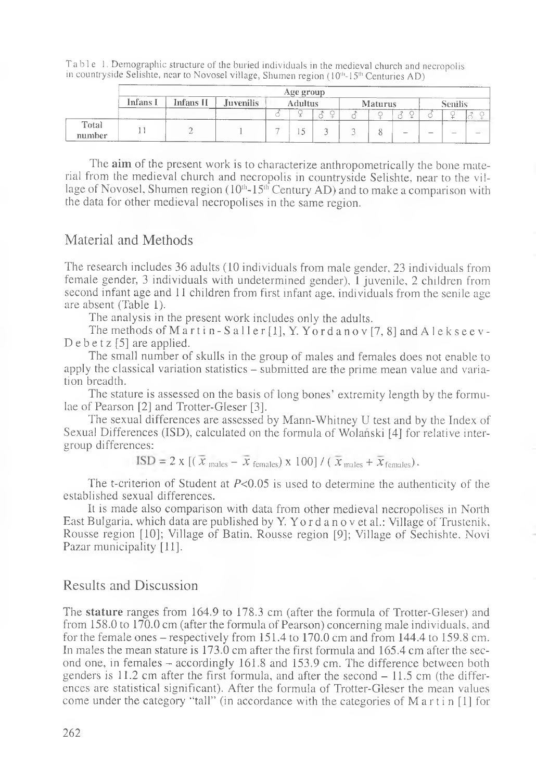|                                                                                          | Table 1. Demographic structure of the buried individuals in the medieval church and necropolis |
|------------------------------------------------------------------------------------------|------------------------------------------------------------------------------------------------|
| in countryside Selishte, near to Novosel village, Shumen region (10th-15th Centuries AD) |                                                                                                |

|                 | Age group<br>------ |           |           |         |  |  |                |  |        |         |                                 |                          |  |
|-----------------|---------------------|-----------|-----------|---------|--|--|----------------|--|--------|---------|---------------------------------|--------------------------|--|
|                 | Infans I            | Infans II | Juvenilis | Adultus |  |  | <b>Maturus</b> |  |        | Senilis |                                 |                          |  |
|                 |                     |           |           |         |  |  |                |  |        |         |                                 |                          |  |
| Total<br>number |                     |           |           | ____    |  |  |                |  | $\sim$ | $\sim$  | ---<br>$\overline{\phantom{a}}$ | $\overline{\phantom{a}}$ |  |

The **aim** of the present work is to characterize anthropometrically the bone material from the medieval church and necropolis in countryside Selishte, near to the village of Novosel, Shumen region ( $10<sup>th</sup>$ -15<sup>th</sup> Century AD) and to make a comparison with the data for other medieval necropolises in the same region.

### Material and Methods

The research includes 36 adults (10 individuals from male gender, 23 individuals from female gender, 3 individuals with undetermined gender), 1 juvenile, 2 children from second infant age and 11 children from first infant age, individuals from the senile age are absent (Table 1).

The analysis in the present work includes only the adults.

The methods of Martin - Saller [1], Y. Yordanov [7, 8] and A lekseev-D e b e t  $z$  [5] are applied.

The small number of skulls in the group of males and females does not enable to apply the classical variation statistics - submitted are the prime mean value and variation breadth.

The stature is assessed on the basis of long bones' extremity length by the formulae of Pearson [2] and Trotter-Gleser [3].

The sexual differences are assessed by Mann-Whitney U test and by the Index of Sexual Differences (ISD), calculated on the formula of Wolanski [4] for relative intergroup differences:

 $\overline{\text{ISD}} = 2 \text{ x } [(\overline{x}_{\text{males}} - \overline{x}_{\text{ females}}) \times 100] / (\overline{x}_{\text{males}} + \overline{x}_{\text{ females}}).$ 

The t-criterion of Student at  $P<0.05$  is used to determine the authenticity of the established sexual differences.

It is made also comparison with data from other medieval necropolises in North East Bulgaria, which data are published by Y. Yo r d a n o v et al.: Village of Trustenik, Rousse region [10]; Village of Batin, Rousse region [9]; Village of Sechishte. Novi Pazar municipality [11].

### Results and Discussion

The **stature** ranges from 164.9 to 178.3 cm (after the formula of Trotter-Gleser) and from 158.0 to 170.0 cm (after the formula of Pearson) concerning male individuals, and for the female ones – respectively from  $151.4$  to  $170.0$  cm and from  $144.4$  to  $159.8$  cm. In males the mean stature is 173.0 cm after the first formula and 165.4 cm after the second one, in females - accordingly 161.8 and 153.9 cm. The difference between both genders is  $11.2$  cm after the first formula, and after the second  $-11.5$  cm (the differences are statistical significant). After the formula of Trotter-Gleser the mean values come under the category "tall" (in accordance with the categories of  $M$  a r t i n  $[1]$  for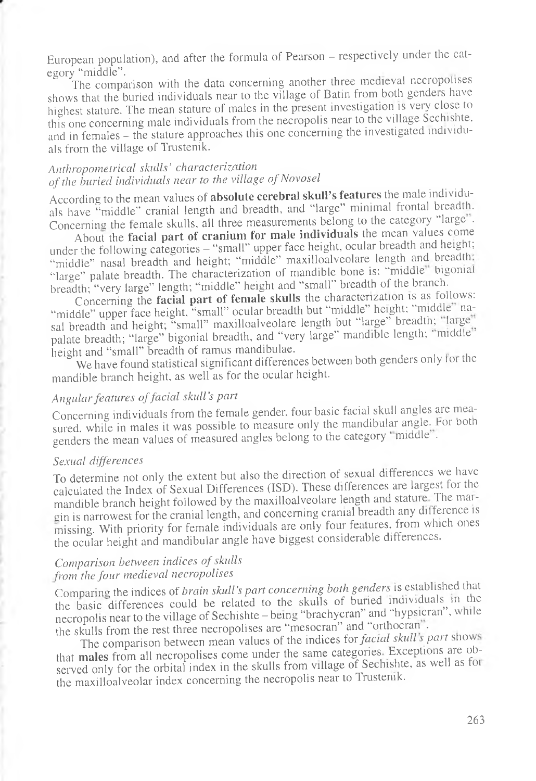European population), and after the formula of Pearson - respectively under the category "middle".

The comparison with the data concerning another three medieval necropolises shows that the buried individuals near to the village of Batin from both genders have highest stature. The mean stature of males in the present investigation is very close to this one concerning male individuals from the necropolis near to the village Sechishte, and in females - the stature approaches this one concerning the investigated individuals from the village of Trustenik.

### *Anthropometrical skulls' characterization of the buried individuals near to the village of Novosel*

According to the mean values of **absolute cerebral skull's features** the male individuals have "middle" cranial length and breadth, and "large" minimal frontal breadth. Concerning the female skulls, all three measurements belong to the category "large".

About the **facial part of cranium for male individuals** the mean values come under the following categories - "small" upper face height, ocular breadth and height; "middle" nasal breadth and height; "middle" maxilloalveolare length and breadth: "large" palate breadth. The characterization of mandible bone is: "middle" bigonial breadth; "very large" length; "middle" height and "small" breadth of the branch.

Concerning the **facial part of female skulls** the characterization is as follows: "middle" upper face height, "small" ocular breadth but "middle" height; "middle" nasal breadth and height; "small" maxilloalveolare length but "large" breadth; "large" palate breadth; "large" bigonial breadth, and "very large" mandible length; "middle"<br>height and "small" breadth of ramus mandibulae. height and "small" breadth of ramus mandibulae.

 $\sim$  We have found statistical significant differences between both genders only for the mandible branch height, as well as for the ocular height.

### *Angular features offacial skull's part*

Concerning individuals from the female gender, four basic facial skull angles are measured, while in males it was possible to measure only the mandibular angle. Por both genders the mean values of measured angles belong to the category "middle".

#### *Sexual differences*

To determine not only the extent but also the direction of sexual differences we have calculated the Index of Sexual Differences (ISD). These differences are largest for the mandible branch height followed by the maxilloalveolare length and stature. The margin is narrowest for the cranial length, and concerning cranial breadth any difference is missing. With priority for female individuals are only four features, from which ones the ocular height and mandibular angle have biggest considerable differences.

### *Comparison between indices of skulls from the four medieval necropolises*

Comparing the indices of *brain skull's part concerning both genders* is established that the basic differences could be related to the skulls of buried individual^ m the necropolis near to the village of Sechishte - being "brachycran" and "hypsicran", while the skulls from the rest three necropolises are "mesocran" and "orthocran".

The comparison between mean values of the indices for *facial skull's part* shows that **m ales** from all necropolises come under the same categories Exceptions are observed only for the orbital index in the skulls from village of Sechishte, as well as foi the maxilloalveolar index concerning the necropolis near to Trustenik.